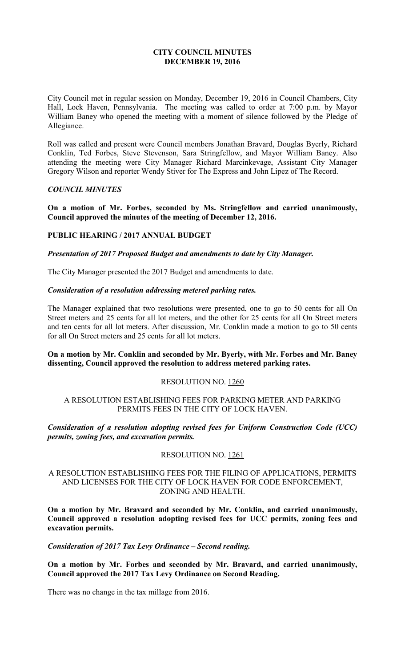## **CITY COUNCIL MINUTES DECEMBER 19, 2016**

City Council met in regular session on Monday, December 19, 2016 in Council Chambers, City Hall, Lock Haven, Pennsylvania. The meeting was called to order at 7:00 p.m. by Mayor William Baney who opened the meeting with a moment of silence followed by the Pledge of Allegiance.

Roll was called and present were Council members Jonathan Bravard, Douglas Byerly, Richard Conklin, Ted Forbes, Steve Stevenson, Sara Stringfellow, and Mayor William Baney. Also attending the meeting were City Manager Richard Marcinkevage, Assistant City Manager Gregory Wilson and reporter Wendy Stiver for The Express and John Lipez of The Record.

## *COUNCIL MINUTES*

**On a motion of Mr. Forbes, seconded by Ms. Stringfellow and carried unanimously, Council approved the minutes of the meeting of December 12, 2016.** 

# **PUBLIC HEARING / 2017 ANNUAL BUDGET**

*Presentation of 2017 Proposed Budget and amendments to date by City Manager.* 

The City Manager presented the 2017 Budget and amendments to date.

#### *Consideration of a resolution addressing metered parking rates.*

The Manager explained that two resolutions were presented, one to go to 50 cents for all On Street meters and 25 cents for all lot meters, and the other for 25 cents for all On Street meters and ten cents for all lot meters. After discussion, Mr. Conklin made a motion to go to 50 cents for all On Street meters and 25 cents for all lot meters.

## **On a motion by Mr. Conklin and seconded by Mr. Byerly, with Mr. Forbes and Mr. Baney dissenting, Council approved the resolution to address metered parking rates.**

#### RESOLUTION NO. 1260

## A RESOLUTION ESTABLISHING FEES FOR PARKING METER AND PARKING PERMITS FEES IN THE CITY OF LOCK HAVEN.

## *Consideration of a resolution adopting revised fees for Uniform Construction Code (UCC) permits, zoning fees, and excavation permits.*

## RESOLUTION NO. 1261

## A RESOLUTION ESTABLISHING FEES FOR THE FILING OF APPLICATIONS, PERMITS AND LICENSES FOR THE CITY OF LOCK HAVEN FOR CODE ENFORCEMENT, ZONING AND HEALTH.

**On a motion by Mr. Bravard and seconded by Mr. Conklin, and carried unanimously, Council approved a resolution adopting revised fees for UCC permits, zoning fees and excavation permits.** 

*Consideration of 2017 Tax Levy Ordinance – Second reading.* 

**On a motion by Mr. Forbes and seconded by Mr. Bravard, and carried unanimously, Council approved the 2017 Tax Levy Ordinance on Second Reading.** 

There was no change in the tax millage from 2016.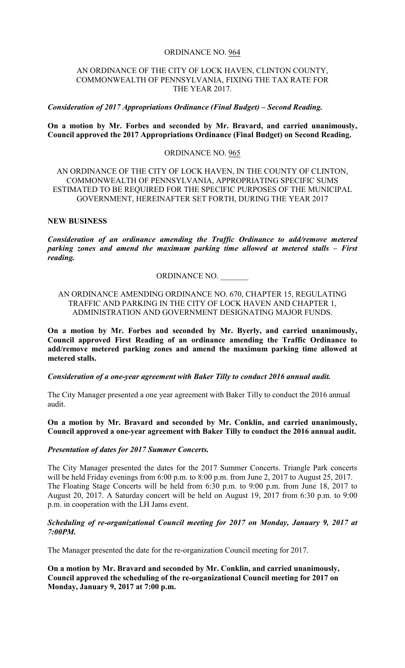#### ORDINANCE NO. 964

#### AN ORDINANCE OF THE CITY OF LOCK HAVEN, CLINTON COUNTY, COMMONWEALTH OF PENNSYLVANIA, FIXING THE TAX RATE FOR THE YEAR 2017.

#### *Consideration of 2017 Appropriations Ordinance (Final Budget) – Second Reading.*

## **On a motion by Mr. Forbes and seconded by Mr. Bravard, and carried unanimously, Council approved the 2017 Appropriations Ordinance (Final Budget) on Second Reading.**

#### ORDINANCE NO. 965

## AN ORDINANCE OF THE CITY OF LOCK HAVEN, IN THE COUNTY OF CLINTON, COMMONWEALTH OF PENNSYLVANIA, APPROPRIATING SPECIFIC SUMS ESTIMATED TO BE REQUIRED FOR THE SPECIFIC PURPOSES OF THE MUNICIPAL GOVERNMENT, HEREINAFTER SET FORTH, DURING THE YEAR 2017

#### **NEW BUSINESS**

*Consideration of an ordinance amending the Traffic Ordinance to add/remove metered parking zones and amend the maximum parking time allowed at metered stalls – First reading.* 

#### ORDINANCE NO. \_\_\_\_\_\_\_

## AN ORDINANCE AMENDING ORDINANCE NO. 670, CHAPTER 15, REGULATING TRAFFIC AND PARKING IN THE CITY OF LOCK HAVEN AND CHAPTER 1, ADMINISTRATION AND GOVERNMENT DESIGNATING MAJOR FUNDS.

**On a motion by Mr. Forbes and seconded by Mr. Byerly, and carried unanimously, Council approved First Reading of an ordinance amending the Traffic Ordinance to add/remove metered parking zones and amend the maximum parking time allowed at metered stalls.** 

*Consideration of a one-year agreement with Baker Tilly to conduct 2016 annual audit.* 

The City Manager presented a one year agreement with Baker Tilly to conduct the 2016 annual audit.

**On a motion by Mr. Bravard and seconded by Mr. Conklin, and carried unanimously, Council approved a one-year agreement with Baker Tilly to conduct the 2016 annual audit.** 

#### *Presentation of dates for 2017 Summer Concerts.*

The City Manager presented the dates for the 2017 Summer Concerts. Triangle Park concerts will be held Friday evenings from 6:00 p.m. to 8:00 p.m. from June 2, 2017 to August 25, 2017. The Floating Stage Concerts will be held from 6:30 p.m. to 9:00 p.m. from June 18, 2017 to August 20, 2017. A Saturday concert will be held on August 19, 2017 from 6:30 p.m. to 9:00 p.m. in cooperation with the LH Jams event.

## *Scheduling of re-organizational Council meeting for 2017 on Monday, January 9, 2017 at 7:00PM.*

The Manager presented the date for the re-organization Council meeting for 2017.

**On a motion by Mr. Bravard and seconded by Mr. Conklin, and carried unanimously, Council approved the scheduling of the re-organizational Council meeting for 2017 on Monday, January 9, 2017 at 7:00 p.m.**